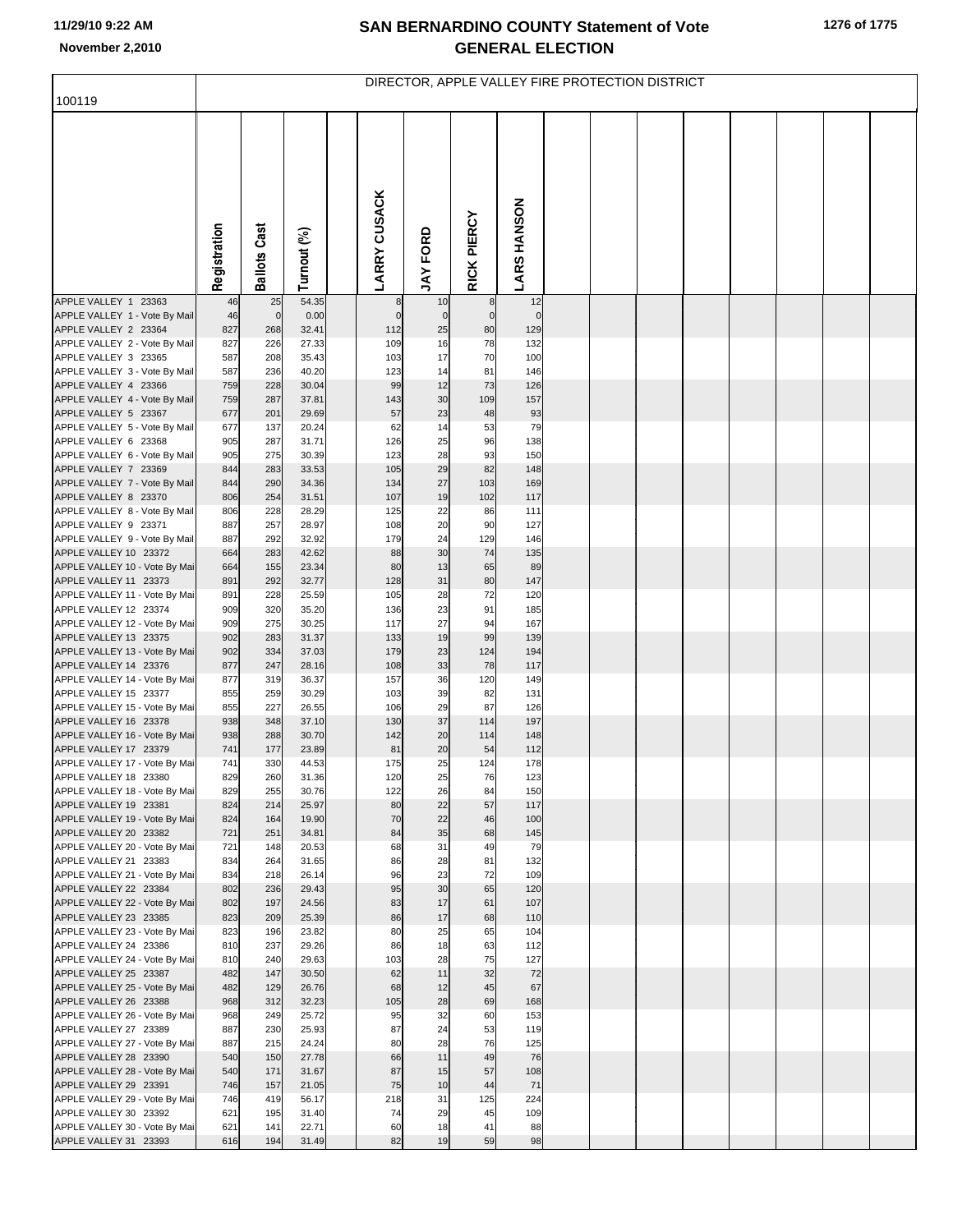## **SAN BERNARDINO COUNTY Statement of Vote November 2,2010 GENERAL ELECTION**

|                                                        | DIRECTOR, APPLE VALLEY FIRE PROTECTION DISTRICT |                     |                |  |                       |                   |                      |                    |  |  |  |  |  |  |
|--------------------------------------------------------|-------------------------------------------------|---------------------|----------------|--|-----------------------|-------------------|----------------------|--------------------|--|--|--|--|--|--|
| 100119                                                 |                                                 |                     |                |  |                       |                   |                      |                    |  |  |  |  |  |  |
|                                                        | Registration                                    | <b>Ballots Cast</b> | Turnout (%)    |  | <b>LARRY CUSACK</b>   | <b>JAY FORD</b>   | RICK PIERCY          | <b>LARS HANSON</b> |  |  |  |  |  |  |
| APPLE VALLEY 1 23363                                   | 46                                              | 25                  | 54.35          |  | 8                     | 10                | 8                    | 12                 |  |  |  |  |  |  |
| APPLE VALLEY 1 - Vote By Mail                          | 46<br>827                                       | $\mathbf 0$         | 0.00<br>32.41  |  | $\overline{0}$<br>112 | $\mathbf 0$<br>25 | $\overline{0}$<br>80 | $\mathbf 0$<br>129 |  |  |  |  |  |  |
| APPLE VALLEY 2 23364<br>APPLE VALLEY 2 - Vote By Mail  | 827                                             | 268<br>226          | 27.33          |  | 109                   | 16                | 78                   | 132                |  |  |  |  |  |  |
| APPLE VALLEY 3 23365                                   | 587                                             | 208                 | 35.43          |  | 103                   | 17                | 70                   | 100                |  |  |  |  |  |  |
| APPLE VALLEY 3 - Vote By Mail                          | 587                                             | 236                 | 40.20          |  | 123                   | 14                | 81                   | 146                |  |  |  |  |  |  |
| APPLE VALLEY 4 23366                                   | 759                                             | 228                 | 30.04          |  | 99                    | 12                | 73                   | 126                |  |  |  |  |  |  |
| APPLE VALLEY 4 - Vote By Mail<br>APPLE VALLEY 5 23367  | 759<br>677                                      | 287<br>201          | 37.81<br>29.69 |  | 143<br>57             | 30<br>23          | 109<br>48            | 157<br>93          |  |  |  |  |  |  |
| APPLE VALLEY 5 - Vote By Mail                          | 677                                             | 137                 | 20.24          |  | 62                    | 14                | 53                   | 79                 |  |  |  |  |  |  |
| APPLE VALLEY 6 23368                                   | 905                                             | 287                 | 31.71          |  | 126                   | 25                | 96                   | 138                |  |  |  |  |  |  |
| APPLE VALLEY 6 - Vote By Mail                          | 905                                             | 275                 | 30.39          |  | 123                   | 28                | 93                   | 150                |  |  |  |  |  |  |
| APPLE VALLEY 7 23369<br>APPLE VALLEY 7 - Vote By Mail  | 844<br>844                                      | 283<br>290          | 33.53<br>34.36 |  | 105<br>134            | 29<br>27          | 82<br>103            | 148<br>169         |  |  |  |  |  |  |
| APPLE VALLEY 8 23370                                   | 806                                             | 254                 | 31.51          |  | 107                   | 19                | 102                  | 117                |  |  |  |  |  |  |
| APPLE VALLEY 8 - Vote By Mail                          | 806                                             | 228                 | 28.29          |  | 125                   | 22                | 86                   | 111                |  |  |  |  |  |  |
| APPLE VALLEY 9 23371                                   | 887                                             | 257                 | 28.97          |  | 108                   | 20                | 90                   | 127                |  |  |  |  |  |  |
| APPLE VALLEY 9 - Vote By Mail                          | 887                                             | 292                 | 32.92          |  | 179                   | 24                | 129                  | 146                |  |  |  |  |  |  |
| APPLE VALLEY 10 23372<br>APPLE VALLEY 10 - Vote By Mai | 664<br>664                                      | 283<br>155          | 42.62<br>23.34 |  | 88<br>80              | 30<br>13          | 74<br>65             | 135<br>89          |  |  |  |  |  |  |
| APPLE VALLEY 11 23373                                  | 891                                             | 292                 | 32.77          |  | 128                   | 31                | 80                   | 147                |  |  |  |  |  |  |
| APPLE VALLEY 11 - Vote By Mai                          | 891                                             | 228                 | 25.59          |  | 105                   | 28                | 72                   | 120                |  |  |  |  |  |  |
| APPLE VALLEY 12 23374                                  | 909                                             | 320                 | 35.20          |  | 136                   | 23                | 91                   | 185                |  |  |  |  |  |  |
| APPLE VALLEY 12 - Vote By Mai                          | 909                                             | 275                 | 30.25          |  | 117                   | 27                | 94                   | 167                |  |  |  |  |  |  |
| APPLE VALLEY 13 23375<br>APPLE VALLEY 13 - Vote By Mai | 902<br>902                                      | 283<br>334          | 31.37<br>37.03 |  | 133<br>179            | 19<br>23          | 99<br>124            | 139<br>194         |  |  |  |  |  |  |
| APPLE VALLEY 14 23376                                  | 877                                             | 247                 | 28.16          |  | 108                   | 33                | 78                   | 117                |  |  |  |  |  |  |
| APPLE VALLEY 14 - Vote By Mai                          | 877                                             | 319                 | 36.37          |  | 157                   | 36                | 120                  | 149                |  |  |  |  |  |  |
| APPLE VALLEY 15 23377                                  | 855                                             | 259                 | 30.29          |  | 103                   | 39                | 82                   | 131                |  |  |  |  |  |  |
| APPLE VALLEY 15 - Vote By Mai<br>APPLE VALLEY 16 23378 | 855<br>938                                      | 227<br>348          | 26.55<br>37.10 |  | 106<br>130            | 29<br>37          | 87<br>114            | 126<br>197         |  |  |  |  |  |  |
| APPLE VALLEY 16 - Vote By Mai                          | 938                                             | 288                 | 30.70          |  | 142                   | 20                | 114                  | 148                |  |  |  |  |  |  |
| APPLE VALLEY 17 23379                                  | 741                                             | 177                 | 23.89          |  | 81                    | 20                | 54                   | 112                |  |  |  |  |  |  |
| APPLE VALLEY 17 - Vote By Mai                          | 741                                             | 330                 | 44.53          |  | 175                   | 25                | 124                  | 178                |  |  |  |  |  |  |
| APPLE VALLEY 18 23380<br>APPLE VALLEY 18 - Vote By Mai | 829<br>829                                      | 260<br>255          | 31.36<br>30.76 |  | 120<br>122            | 25<br>26          | 76<br>84             | 123<br>150         |  |  |  |  |  |  |
| APPLE VALLEY 19 23381                                  | 824                                             | 214                 | 25.97          |  | 80                    | 22                | 57                   | 117                |  |  |  |  |  |  |
| APPLE VALLEY 19 - Vote By Mai                          | 824                                             | 164                 | 19.90          |  | 70                    | 22                | 46                   | 100                |  |  |  |  |  |  |
| APPLE VALLEY 20 23382                                  | 721                                             | 251                 | 34.81          |  | 84                    | 35                | 68                   | 145                |  |  |  |  |  |  |
| APPLE VALLEY 20 - Vote By Mai<br>APPLE VALLEY 21 23383 | 721<br>834                                      | 148<br>264          | 20.53<br>31.65 |  | 68<br>86              | 31<br>28          | 49<br>81             | 79<br>132          |  |  |  |  |  |  |
| APPLE VALLEY 21 - Vote By Mai                          | 834                                             | 218                 | 26.14          |  | 96                    | 23                | 72                   | 109                |  |  |  |  |  |  |
| APPLE VALLEY 22 23384                                  | 802                                             | 236                 | 29.43          |  | 95                    | 30                | 65                   | 120                |  |  |  |  |  |  |
| APPLE VALLEY 22 - Vote By Mai                          | 802                                             | 197                 | 24.56          |  | 83                    | 17                | 61                   | 107                |  |  |  |  |  |  |
| APPLE VALLEY 23 23385                                  | 823                                             | 209                 | 25.39          |  | 86<br>80              | 17<br>25          | 68<br>65             | 110                |  |  |  |  |  |  |
| APPLE VALLEY 23 - Vote By Mai<br>APPLE VALLEY 24 23386 | 823<br>810                                      | 196<br>237          | 23.82<br>29.26 |  | 86                    | 18                | 63                   | 104<br>112         |  |  |  |  |  |  |
| APPLE VALLEY 24 - Vote By Mai                          | 810                                             | 240                 | 29.63          |  | 103                   | 28                | 75                   | 127                |  |  |  |  |  |  |
| APPLE VALLEY 25 23387                                  | 482                                             | 147                 | 30.50          |  | 62                    | 11                | 32                   | 72                 |  |  |  |  |  |  |
| APPLE VALLEY 25 - Vote By Mai                          | 482                                             | 129                 | 26.76          |  | 68                    | 12                | 45                   | 67                 |  |  |  |  |  |  |
| APPLE VALLEY 26 23388<br>APPLE VALLEY 26 - Vote By Mai | 968<br>968                                      | 312<br>249          | 32.23<br>25.72 |  | 105<br>95             | 28<br>32          | 69<br>60             | 168<br>153         |  |  |  |  |  |  |
| APPLE VALLEY 27 23389                                  | 887                                             | 230                 | 25.93          |  | 87                    | 24                | 53                   | 119                |  |  |  |  |  |  |
| APPLE VALLEY 27 - Vote By Mai                          | 887                                             | 215                 | 24.24          |  | 80                    | 28                | 76                   | 125                |  |  |  |  |  |  |
| APPLE VALLEY 28 23390                                  | 540                                             | 150                 | 27.78          |  | 66                    | 11                | 49                   | 76                 |  |  |  |  |  |  |
| APPLE VALLEY 28 - Vote By Mai                          | 540                                             | 171                 | 31.67          |  | 87                    | 15<br>10          | 57                   | 108                |  |  |  |  |  |  |
| APPLE VALLEY 29 23391<br>APPLE VALLEY 29 - Vote By Mai | 746<br>746                                      | 157<br>419          | 21.05<br>56.17 |  | 75<br>218             | 31                | 44<br>125            | 71<br>224          |  |  |  |  |  |  |
| APPLE VALLEY 30 23392                                  | 621                                             | 195                 | 31.40          |  | 74                    | 29                | 45                   | 109                |  |  |  |  |  |  |
| APPLE VALLEY 30 - Vote By Mai                          | 621                                             | 141                 | 22.71          |  | 60                    | 18                | 41                   | 88                 |  |  |  |  |  |  |
| APPLE VALLEY 31 23393                                  | 616                                             | 194                 | 31.49          |  | 82                    | 19                | 59                   | 98                 |  |  |  |  |  |  |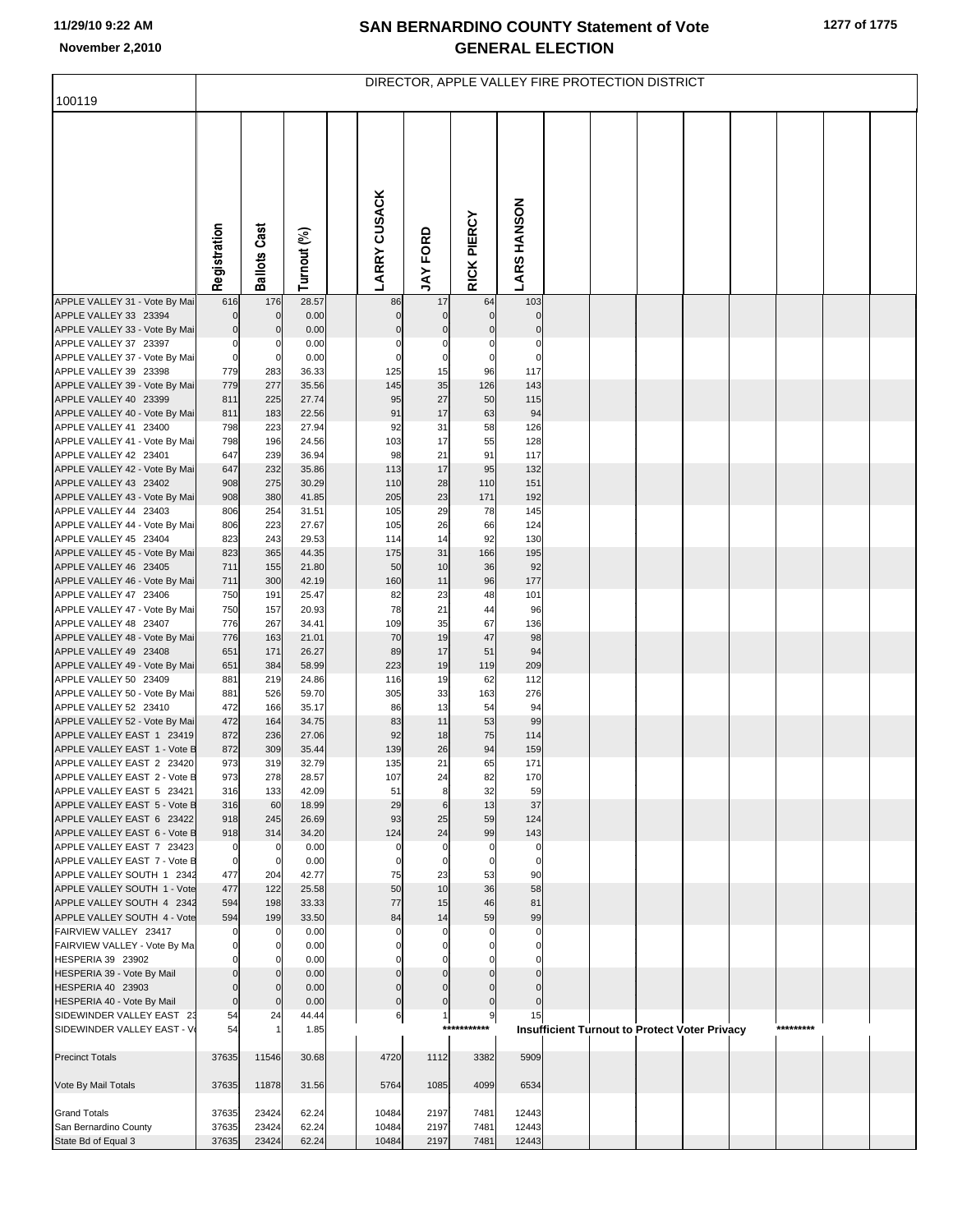## **SAN BERNARDINO COUNTY Statement of Vote November 2,2010 GENERAL ELECTION**

|                                                           | DIRECTOR, APPLE VALLEY FIRE PROTECTION DISTRICT |                     |                |  |                         |                             |                   |                      |  |  |  |                                                      |  |           |  |
|-----------------------------------------------------------|-------------------------------------------------|---------------------|----------------|--|-------------------------|-----------------------------|-------------------|----------------------|--|--|--|------------------------------------------------------|--|-----------|--|
| 100119                                                    |                                                 |                     |                |  |                         |                             |                   |                      |  |  |  |                                                      |  |           |  |
|                                                           | Registration                                    | <b>Ballots Cast</b> | Turnout (%)    |  | <b>LARRY CUSACK</b>     | <b>JAY FORD</b>             | RICK PIERCY       | <b>LARS HANSON</b>   |  |  |  |                                                      |  |           |  |
| APPLE VALLEY 31 - Vote By Mai                             | 616                                             | 176                 | 28.57          |  | 86                      | 17                          | 64                | 103                  |  |  |  |                                                      |  |           |  |
| APPLE VALLEY 33 23394                                     | $\mathbf 0$                                     | $\mathbf 0$         | 0.00           |  | $\mathbf 0$             | $\mathbf 0$                 | $\mathbf 0$       | $\Omega$             |  |  |  |                                                      |  |           |  |
| APPLE VALLEY 33 - Vote By Mai<br>APPLE VALLEY 37 23397    | $\mathbf 0$<br>$\mathbf 0$                      | 0<br>0              | 0.00<br>0.00   |  | $\mathbf 0$<br>0        | $\mathbf 0$<br>0            | $\mathbf 0$<br>0  | $\mathcal{C}$<br>C   |  |  |  |                                                      |  |           |  |
| APPLE VALLEY 37 - Vote By Mai                             | $\mathbf 0$                                     | $\mathbf 0$         | 0.00           |  | $\mathbf 0$             | $\pmb{0}$                   | $\mathbf 0$       | $\mathbf 0$          |  |  |  |                                                      |  |           |  |
| APPLE VALLEY 39 23398                                     | 779                                             | 283                 | 36.33          |  | 125                     | 15                          | 96                | 117                  |  |  |  |                                                      |  |           |  |
| APPLE VALLEY 39 - Vote By Mai                             | 779                                             | 277                 | 35.56          |  | 145                     | 35                          | 126               | 143                  |  |  |  |                                                      |  |           |  |
| APPLE VALLEY 40 23399                                     | 811                                             | 225                 | 27.74          |  | 95                      | 27                          | 50                | 115                  |  |  |  |                                                      |  |           |  |
| APPLE VALLEY 40 - Vote By Mai                             | 811                                             | 183                 | 22.56          |  | 91                      | 17                          | 63                | 94                   |  |  |  |                                                      |  |           |  |
| APPLE VALLEY 41 23400<br>APPLE VALLEY 41 - Vote By Mai    | 798<br>798                                      | 223<br>196          | 27.94<br>24.56 |  | 92<br>103               | 31<br>17                    | 58<br>55          | 126<br>128           |  |  |  |                                                      |  |           |  |
| APPLE VALLEY 42 23401                                     | 647                                             | 239                 | 36.94          |  | 98                      | 21                          | 91                | 117                  |  |  |  |                                                      |  |           |  |
| APPLE VALLEY 42 - Vote By Mai                             | 647                                             | 232                 | 35.86          |  | 113                     | 17                          | 95                | 132                  |  |  |  |                                                      |  |           |  |
| APPLE VALLEY 43 23402                                     | 908                                             | 275                 | 30.29          |  | 110                     | 28                          | 110               | 151                  |  |  |  |                                                      |  |           |  |
| APPLE VALLEY 43 - Vote By Mai                             | 908                                             | 380                 | 41.85          |  | 205                     | 23                          | 171               | 192                  |  |  |  |                                                      |  |           |  |
| APPLE VALLEY 44 23403<br>APPLE VALLEY 44 - Vote By Mai    | 806<br>806                                      | 254<br>223          | 31.51<br>27.67 |  | 105<br>105              | 29<br>26                    | 78<br>66          | 145<br>124           |  |  |  |                                                      |  |           |  |
| APPLE VALLEY 45 23404                                     | 823                                             | 243                 | 29.53          |  | 114                     | 14                          | 92                | 130                  |  |  |  |                                                      |  |           |  |
| APPLE VALLEY 45 - Vote By Mai                             | 823                                             | 365                 | 44.35          |  | 175                     | 31                          | 166               | 195                  |  |  |  |                                                      |  |           |  |
| APPLE VALLEY 46 23405                                     | 711                                             | 155                 | 21.80          |  | 50                      | 10                          | 36                | 92                   |  |  |  |                                                      |  |           |  |
| APPLE VALLEY 46 - Vote By Mai                             | 711                                             | 300                 | 42.19          |  | 160                     | 11                          | 96                | 177                  |  |  |  |                                                      |  |           |  |
| APPLE VALLEY 47 23406<br>APPLE VALLEY 47 - Vote By Mai    | 750<br>750                                      | 191<br>157          | 25.47<br>20.93 |  | 82<br>78                | 23<br>21                    | 48<br>44          | 101<br>96            |  |  |  |                                                      |  |           |  |
| APPLE VALLEY 48 23407                                     | 776                                             | 267                 | 34.41          |  | 109                     | 35                          | 67                | 136                  |  |  |  |                                                      |  |           |  |
| APPLE VALLEY 48 - Vote By Mai                             | 776                                             | 163                 | 21.01          |  | 70                      | 19                          | 47                | 98                   |  |  |  |                                                      |  |           |  |
| APPLE VALLEY 49 23408                                     | 651                                             | 171                 | 26.27          |  | 89                      | 17                          | 51                | 94                   |  |  |  |                                                      |  |           |  |
| APPLE VALLEY 49 - Vote By Mai                             | 651                                             | 384                 | 58.99          |  | 223                     | 19                          | 119               | 209                  |  |  |  |                                                      |  |           |  |
| APPLE VALLEY 50 23409<br>APPLE VALLEY 50 - Vote By Mai    | 881<br>881                                      | 219<br>526          | 24.86<br>59.70 |  | 116<br>305              | 19<br>33                    | 62<br>163         | 112<br>276           |  |  |  |                                                      |  |           |  |
| APPLE VALLEY 52 23410                                     | 472                                             | 166                 | 35.17          |  | 86                      | 13                          | 54                | 94                   |  |  |  |                                                      |  |           |  |
| APPLE VALLEY 52 - Vote By Mai                             | 472                                             | 164                 | 34.75          |  | 83                      | 11                          | 53                | 99                   |  |  |  |                                                      |  |           |  |
| APPLE VALLEY EAST 1 23419                                 | 872                                             | 236                 | 27.06          |  | 92                      | 18                          | 75                | 114                  |  |  |  |                                                      |  |           |  |
| APPLE VALLEY EAST 1 - Vote B                              | 872<br>973                                      | 309<br>319          | 35.44<br>32.79 |  | 139<br>135              | 26<br>21                    | 94<br>65          | 159<br>171           |  |  |  |                                                      |  |           |  |
| APPLE VALLEY EAST 2 23420<br>APPLE VALLEY EAST 2 - Vote B | 973                                             | 278                 | 28.57          |  | 107                     | 24                          | 82                | 170                  |  |  |  |                                                      |  |           |  |
| APPLE VALLEY EAST 5 23421                                 | 316                                             | 133                 | 42.09          |  | 51                      | 8                           | 32                | 59                   |  |  |  |                                                      |  |           |  |
| APPLE VALLEY EAST 5 - Vote B                              | 316                                             | 60                  | 18.99          |  | 29                      | $\,6$                       | 13                | 37                   |  |  |  |                                                      |  |           |  |
| APPLE VALLEY EAST 6 23422                                 | 918                                             | 245                 | 26.69          |  | 93                      | 25                          | 59                | 124                  |  |  |  |                                                      |  |           |  |
| APPLE VALLEY EAST 6 - Vote B<br>APPLE VALLEY EAST 7 23423 | 918<br>$\mathbf 0$                              | 314<br>$\mathbf 0$  | 34.20<br>0.00  |  | 124<br>$\mathbf 0$      | 24<br>$\mathbf 0$           | 99<br>$\mathbf 0$ | 143<br>$\mathcal{C}$ |  |  |  |                                                      |  |           |  |
| APPLE VALLEY EAST 7 - Vote B                              | $\mathbf 0$                                     | $\mathbf 0$         | 0.00           |  | 0                       | 0                           | $\mathbf 0$       | $\mathbf 0$          |  |  |  |                                                      |  |           |  |
| APPLE VALLEY SOUTH 1 2342                                 | 477                                             | 204                 | 42.77          |  | 75                      | 23                          | 53                | 90                   |  |  |  |                                                      |  |           |  |
| APPLE VALLEY SOUTH 1 - Vote                               | 477                                             | 122                 | 25.58          |  | 50                      | 10                          | 36                | 58                   |  |  |  |                                                      |  |           |  |
| APPLE VALLEY SOUTH 4 2342                                 | 594                                             | 198                 | 33.33          |  | 77                      | 15                          | 46                | 81                   |  |  |  |                                                      |  |           |  |
| APPLE VALLEY SOUTH 4 - Vote<br>FAIRVIEW VALLEY 23417      | 594<br>0                                        | 199<br>0            | 33.50<br>0.00  |  | 84<br>C                 | 14<br>$\Omega$              | 59<br>$\mathbf 0$ | 99<br>$\mathcal{C}$  |  |  |  |                                                      |  |           |  |
| FAIRVIEW VALLEY - Vote By Ma                              | $\mathbf 0$                                     | 0                   | 0.00           |  | $\Omega$                | $\Omega$                    |                   | $\mathcal{C}$        |  |  |  |                                                      |  |           |  |
| HESPERIA 39 23902                                         | $\Omega$                                        |                     | 0.00           |  | C                       | O                           |                   |                      |  |  |  |                                                      |  |           |  |
| HESPERIA 39 - Vote By Mail                                | $\mathbf 0$                                     | $\Omega$            | 0.00           |  | $\Omega$                | $\Omega$                    | $\Omega$          | $\Omega$             |  |  |  |                                                      |  |           |  |
| HESPERIA 40 23903                                         | $\mathbf 0$                                     | $\Omega$            | 0.00           |  | $\Omega$<br>$\mathbf 0$ | $\Omega$                    |                   | $\Omega$             |  |  |  |                                                      |  |           |  |
| HESPERIA 40 - Vote By Mail<br>SIDEWINDER VALLEY EAST 23   | $\mathbf 0$<br>54                               | $\mathbf 0$<br>24   | 0.00<br>44.44  |  | 6                       | $\mathbf 0$<br>$\mathbf{1}$ | $\mathbf 0$<br>9  | 15                   |  |  |  |                                                      |  |           |  |
| SIDEWINDER VALLEY EAST - V                                | 54                                              |                     | 1.85           |  |                         |                             | ***********       |                      |  |  |  | <b>Insufficient Turnout to Protect Voter Privacy</b> |  | ********* |  |
| <b>Precinct Totals</b>                                    | 37635                                           | 11546               | 30.68          |  | 4720                    | 1112                        | 3382              | 5909                 |  |  |  |                                                      |  |           |  |
| Vote By Mail Totals                                       | 37635                                           | 11878               | 31.56          |  | 5764                    | 1085                        | 4099              | 6534                 |  |  |  |                                                      |  |           |  |
| <b>Grand Totals</b>                                       | 37635                                           | 23424               | 62.24          |  | 10484                   | 2197                        | 7481              | 12443                |  |  |  |                                                      |  |           |  |
| San Bernardino County                                     | 37635                                           | 23424               | 62.24          |  | 10484                   | 2197                        | 7481              | 12443                |  |  |  |                                                      |  |           |  |
| State Bd of Equal 3                                       | 37635                                           | 23424               | 62.24          |  | 10484                   | 2197                        | 7481              | 12443                |  |  |  |                                                      |  |           |  |